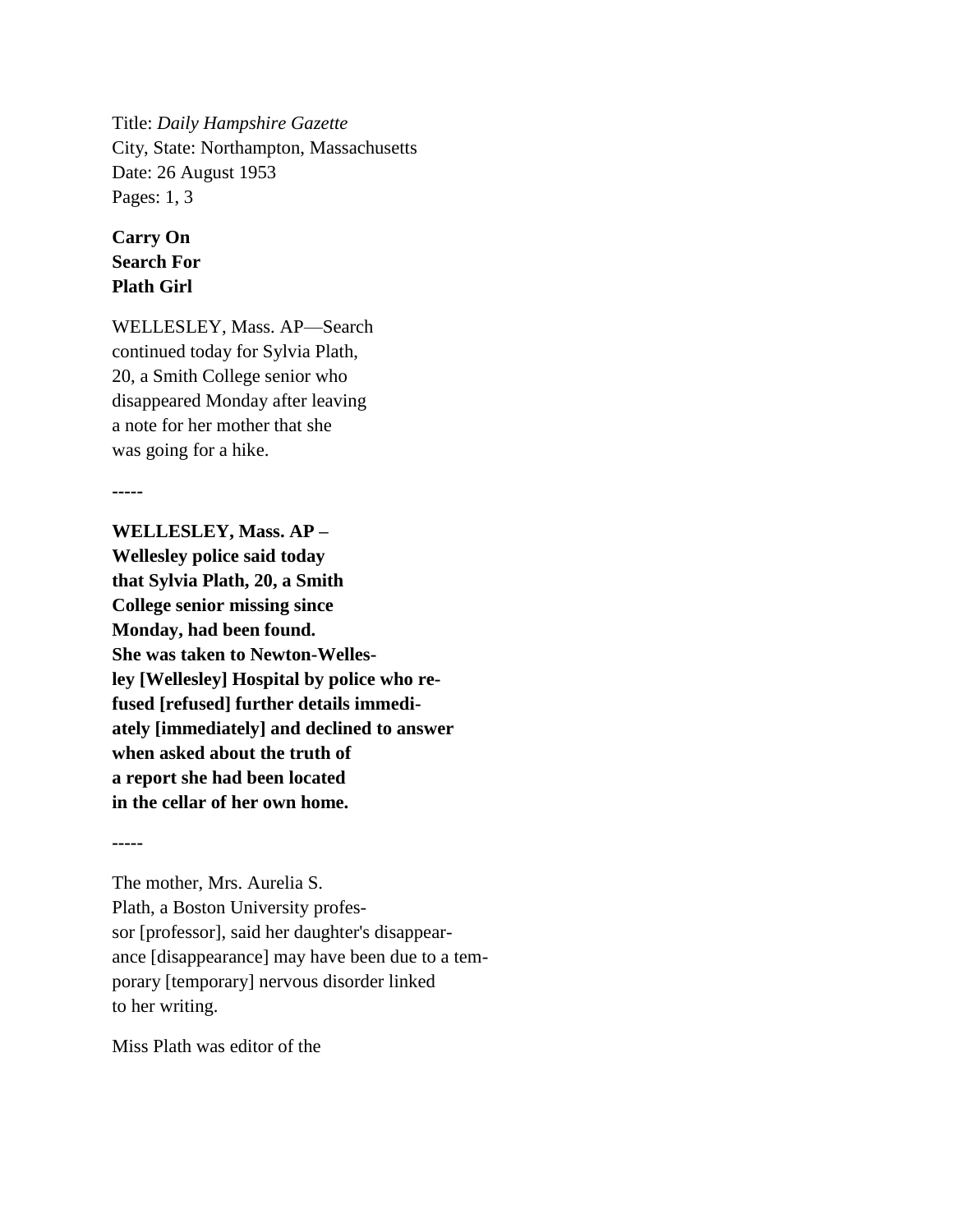Title: *Daily Hampshire Gazette* City, State: Northampton, Massachusetts Date: 26 August 1953 Pages: 1, 3

## **Carry On Search For Plath Girl**

WELLESLEY, Mass. AP—Search continued today for Sylvia Plath, 20, a Smith College senior who disappeared Monday after leaving a note for her mother that she was going for a hike.

**-----**

**WELLESLEY, Mass. AP – Wellesley police said today that Sylvia Plath, 20, a Smith College senior missing since Monday, had been found. She was taken to Newton-Wellesley [Wellesley] Hospital by police who refused [refused] further details immediately [immediately] and declined to answer when asked about the truth of a report she had been located in the cellar of her own home.**

**-----**

The mother, Mrs. Aurelia S. Plath, a Boston University professor [professor], said her daughter's disappearance [disappearance] may have been due to a temporary [temporary] nervous disorder linked to her writing.

Miss Plath was editor of the